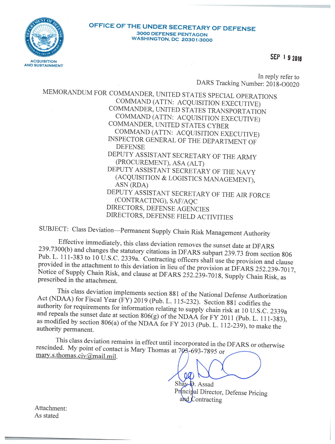

### OFFICE OF THE UNDER SECRETARY OF DEFENSE **3000 DEFENSE PENTAGON WASHINGTON, DC 20301-3000**

SEP 1 9 2018

In reply refer to DARS Tracking Number: 2018-O0020

MEMORANDUM FOR COMMANDER, UNITED STATES SPECIAL OPERATIONS COMMAND (ATTN: ACQUISITION EXECUTIVE) COMMANDER, UNITED STATES TRANSPORTATION COMMAND (ATTN: ACQUISITION EXECUTIVE) COMMANDER, UNITED STATES CYBER COMMAND (ATTN: ACQUISITION EXECUTIVE) INSPECTOR GENERAL OF THE DEPARTMENT OF **DEFENSE** DEPUTY ASSISTANT SECRETARY OF THE ARMY (PROCUREMENT), ASA (ALT) DEPUTY ASSISTANT SECRETARY OF THE NAVY (ACQUISITION & LOGISTICS MANAGEMENT), ASN (RDA) DEPUTY ASSISTANT SECRETARY OF THE AIR FORCE (CONTRACTING), SAF/AQC DIRECTORS, DEFENSE AGENCIES DIRECTORS, DEFENSE FIELD ACTIVITIES

SUBJECT: Class Deviation-Permanent Supply Chain Risk Management Authority

Effective immediately, this class deviation removes the sunset date at DFARS 239.7300(b) and changes the statutory citations in DFARS subpart 239.73 from section 806 Pub. L. 111-383 to 10 U.S.C. 2339a. Contracting officers shall use the provision and clause provided in the attachment to this deviation in lieu of the provision at DFARS 252.239-7017, Notice of Supply Chain Risk, and clause at DFARS 252.239-7018, Supply Chain Risk, as prescribed in the attachment.

This class deviation implements section 881 of the National Defense Authorization Act (NDAA) for Fiscal Year (FY) 2019 (Pub. L. 115-232). Section 881 codifies the authority for requirements for information relating to supply chain risk at 10 U.S.C. 2339a and repeals the sunset date at section  $806(g)$  of the NDAA for FY 2011 (Pub. L. 111-383), as modified by section 806(a) of the NDAA for FY 2013 (Pub. L. 112-239), to make the authority permanent.

This class deviation remains in effect until incorporated in the DFARS or otherwise rescinded. My point of contact is Mary Thomas at 703-693-7895 or mary.s.thomas.civ@mail.mil.

> $QQ$ Shay D. Assad Principal Director, Defense Pricing and Contracting

Attachment: As stated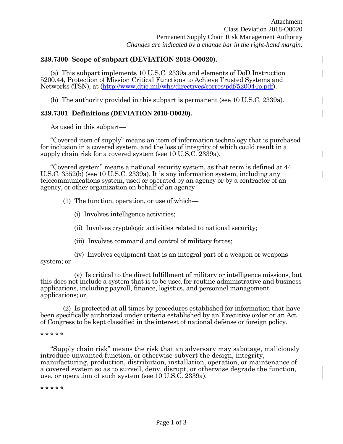## **239.7300 Scope of subpart (DEVIATION 2018-O0020).**

(a) This subpart implements 10 U.S.C. 2339a and elements of DoD Instruction 5200.44, Protection of Mission Critical Functions to Achieve Trusted Systems and Networks (TSN), at [\(http://www.dtic.mil/whs/directives/corres/pdf/520044p.pdf\)](http://www.dtic.mil/whs/directives/corres/pdf/520044p.pdf).

(b) The authority provided in this subpart is permanent (see 10 U.S.C. 2339a).

# **239.7301 Definitions (DEVIATION 2018-O0020).**

As used in this subpart—

"Covered item of supply" means an item of information technology that is purchased for inclusion in a covered system, and the loss of integrity of which could result in a supply chain risk for a covered system (see 10 U.S.C. 2339a).

"Covered system" means a national security system, as that term is defined at 44 U.S.C. 3552(b) (see 10 U.S.C. 2339a). It is any information system, including any telecommunications system, used or operated by an agency or by a contractor of an agency, or other organization on behalf of an agency—

(1) The function, operation, or use of which—

(i) Involves intelligence activities;

- (ii) Involves cryptologic activities related to national security;
- (iii) Involves command and control of military forces;

(iv) Involves equipment that is an integral part of a weapon or weapons system; or

(v) Is critical to the direct fulfillment of military or intelligence missions, but this does not include a system that is to be used for routine administrative and business applications, including payroll, finance, logistics, and personnel management applications; or

(2) Is protected at all times by procedures established for information that have been specifically authorized under criteria established by an Executive order or an Act of Congress to be kept classified in the interest of national defense or foreign policy.

\* \* \* \* \*

"Supply chain risk" means the risk that an adversary may sabotage, maliciously introduce unwanted function, or otherwise subvert the design, integrity, manufacturing, production, distribution, installation, operation, or maintenance of a covered system so as to surveil, deny, disrupt, or otherwise degrade the function, use, or operation of such system (see 10 U.S.C. 2339a).

\* \* \* \* \*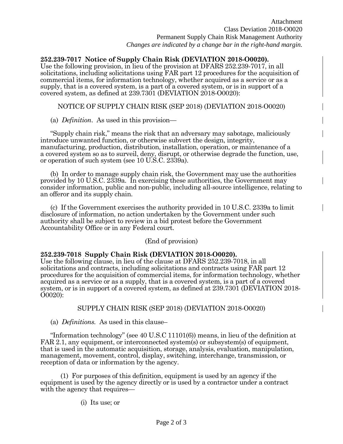**252.239-7017 Notice of Supply Chain Risk (DEVIATION 2018-O0020).** Use the following provision, in lieu of the provision at DFARS 252.239-7017, in all solicitations, including solicitations using FAR part 12 procedures for the acquisition of commercial items, for information technology, whether acquired as a service or as a supply, that is a covered system, is a part of a covered system, or is in support of a covered system, as defined at 239.7301 (DEVIATION 2018-O0020):

NOTICE OF SUPPLY CHAIN RISK (SEP 2018) (DEVIATION 2018-O0020)

(a) *Definition*. As used in this provision—

"Supply chain risk," means the risk that an adversary may sabotage, maliciously introduce unwanted function, or otherwise subvert the design, integrity, manufacturing, production, distribution, installation, operation, or maintenance of a a covered system so as to surveil, deny, disrupt, or otherwise degrade the function, use, or operation of such system (see 10 U.S.C. 2339a).

(b) In order to manage supply chain risk, the Government may use the authorities provided by 10 U.S.C. 2339a. In exercising these authorities, the Government may consider information, public and non-public, including all-source intelligence, relating to an offeror and its supply chain.

(c) If the Government exercises the authority provided in 10 U.S.C. 2339a to limit disclosure of information, no action undertaken by the Government under such authority shall be subject to review in a bid protest before the Government Accountability Office or in any Federal court.

(End of provision)

## **252.239-7018 Supply Chain Risk (DEVIATION 2018-O0020).**

Use the following clause, in lieu of the clause at DFARS 252.239-7018, in all solicitations and contracts, including solicitations and contracts using FAR part 12 procedures for the acquisition of commercial items, for information technology, whether acquired as a service or as a supply, that is a covered system, is a part of a covered system, or is in support of a covered system, as defined at 239.7301 (DEVIATION 2018- O0020):

## SUPPLY CHAIN RISK (SEP 2018) (DEVIATION 2018-O0020)

(a) *Definitions.* As used in this clause–

"Information technology" (see 40 U.S.C 11101(6)) means, in lieu of the definition at FAR 2.1, any equipment, or interconnected system(s) or subsystem(s) of equipment, that is used in the automatic acquisition, storage, analysis, evaluation, manipulation, management, movement, control, display, switching, interchange, transmission, or reception of data or information by the agency.

(1) For purposes of this definition, equipment is used by an agency if the equipment is used by the agency directly or is used by a contractor under a contract with the agency that requires—

(i) Its use; or